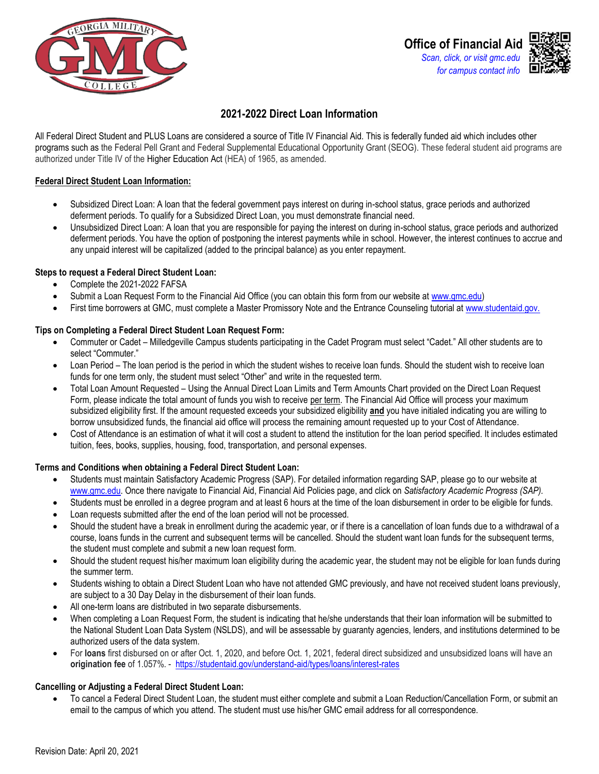

# **2021-2022 Direct Loan Information**

All Federal Direct Student and PLUS Loans are considered a source of Title IV Financial Aid. This is federally funded aid which includes other programs such as the Federal Pell Grant and Federal Supplemental Educational Opportunity Grant (SEOG). These federal student aid programs are authorized under Title IV of the Higher Education Act (HEA) of 1965, as amended.

### **Federal Direct Student Loan Information:**

- Subsidized Direct Loan: A loan that the federal government pays interest on during in-school status, grace periods and authorized deferment periods. To qualify for a Subsidized Direct Loan, you must demonstrate financial need.
- Unsubsidized Direct Loan: A loan that you are responsible for paying the interest on during in-school status, grace periods and authorized deferment periods. You have the option of postponing the interest payments while in school. However, the interest continues to accrue and any unpaid interest will be capitalized (added to the principal balance) as you enter repayment.

## **Steps to request a Federal Direct Student Loan:**

- Complete the 2021-2022 FAFSA
- Submit a Loan Request Form to the Financial Aid Office (you can obtain this form from our website at [www.gmc.edu\)](file://///gmc-mil-fil-013/Financial%20Aid/FAID/2021-2022/Forms/www.gmc.edu)
- First time borrowers at GMC, must complete a Master Promissory Note and the Entrance Counseling tutorial at [www.studentaid.gov.](http://www.studentaid.gov/)

## **Tips on Completing a Federal Direct Student Loan Request Form:**

- Commuter or Cadet Milledgeville Campus students participating in the Cadet Program must select "Cadet." All other students are to select "Commuter."
- Loan Period The loan period is the period in which the student wishes to receive loan funds. Should the student wish to receive loan funds for one term only, the student must select "Other" and write in the requested term.
- Total Loan Amount Requested Using the Annual Direct Loan Limits and Term Amounts Chart provided on the Direct Loan Request Form, please indicate the total amount of funds you wish to receive per term. The Financial Aid Office will process your maximum subsidized eligibility first. If the amount requested exceeds your subsidized eligibility **and** you have initialed indicating you are willing to borrow unsubsidized funds, the financial aid office will process the remaining amount requested up to your Cost of Attendance*.*
- Cost of Attendance is an estimation of what it will cost a student to attend the institution for the loan period specified. It includes estimated tuition, fees, books, supplies, housing, food, transportation, and personal expenses.

### **Terms and Conditions when obtaining a Federal Direct Student Loan:**

- Students must maintain Satisfactory Academic Progress (SAP). For detailed information regarding SAP, please go to our website at [www.gmc.edu.](file://///gmc-mil-fil-013/Financial%20Aid/FAID/2021-2022/Forms/www.gmc.edu) Once there navigate to Financial Aid, Financial Aid Policies page, and click on *Satisfactory Academic Progress (SAP).*
- Students must be enrolled in a degree program and at least 6 hours at the time of the loan disbursement in order to be eligible for funds.
- Loan requests submitted after the end of the loan period will not be processed.
- Should the student have a break in enrollment during the academic year, or if there is a cancellation of loan funds due to a withdrawal of a course, loans funds in the current and subsequent terms will be cancelled. Should the student want loan funds for the subsequent terms, the student must complete and submit a new loan request form.
- Should the student request his/her maximum loan eligibility during the academic year, the student may not be eligible for loan funds during the summer term.
- Students wishing to obtain a Direct Student Loan who have not attended GMC previously, and have not received student loans previously, are subject to a 30 Day Delay in the disbursement of their loan funds.
- All one-term loans are distributed in two separate disbursements.
- When completing a Loan Request Form, the student is indicating that he/she understands that their loan information will be submitted to the National Student Loan Data System (NSLDS), and will be assessable by guaranty agencies, lenders, and institutions determined to be authorized users of the data system.
- For **loans** first disbursed on or after Oct. 1, 2020, and before Oct. 1, 2021, federal direct subsidized and unsubsidized loans will have an **origination fee** of 1.057%. -<https://studentaid.gov/understand-aid/types/loans/interest-rates>

### **Cancelling or Adjusting a Federal Direct Student Loan:**

• To cancel a Federal Direct Student Loan, the student must either complete and submit a Loan Reduction/Cancellation Form, or submit an email to the campus of which you attend. The student must use his/her GMC email address for all correspondence.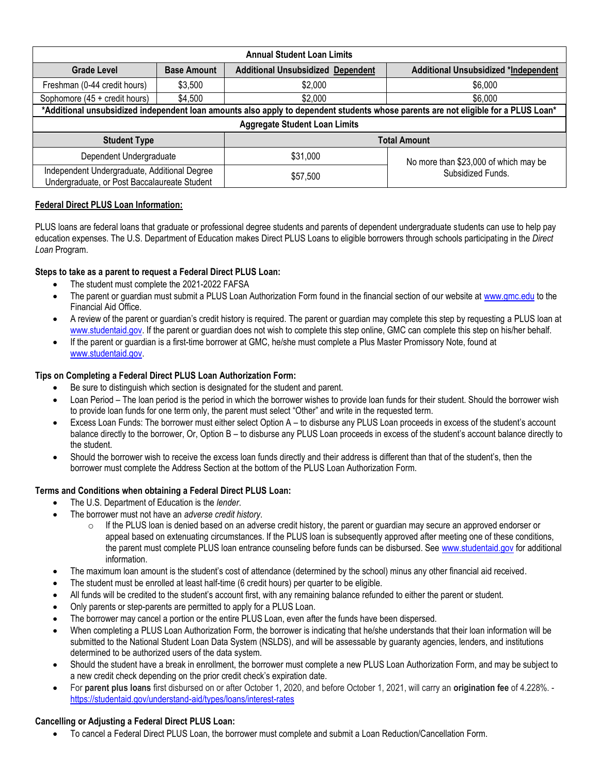| <b>Annual Student Loan Limits</b>                                                                                                  |                    |                                          |                                       |  |  |  |  |  |
|------------------------------------------------------------------------------------------------------------------------------------|--------------------|------------------------------------------|---------------------------------------|--|--|--|--|--|
| <b>Grade Level</b>                                                                                                                 | <b>Base Amount</b> | <b>Additional Unsubsidized Dependent</b> | Additional Unsubsidized *Independent  |  |  |  |  |  |
| Freshman (0-44 credit hours)                                                                                                       | \$3,500            | \$2,000                                  | \$6,000                               |  |  |  |  |  |
| Sophomore (45 + credit hours)                                                                                                      | \$4,500            | \$2,000                                  | \$6,000                               |  |  |  |  |  |
| *Additional unsubsidized independent loan amounts also apply to dependent students whose parents are not eligible for a PLUS Loan* |                    |                                          |                                       |  |  |  |  |  |
| <b>Aggregate Student Loan Limits</b>                                                                                               |                    |                                          |                                       |  |  |  |  |  |
| <b>Student Type</b>                                                                                                                |                    | <b>Total Amount</b>                      |                                       |  |  |  |  |  |
| Dependent Undergraduate                                                                                                            |                    | \$31,000                                 | No more than \$23,000 of which may be |  |  |  |  |  |
| Independent Undergraduate, Additional Degree<br>Undergraduate, or Post Baccalaureate Student                                       |                    | \$57,500                                 | Subsidized Funds.                     |  |  |  |  |  |

# **Federal Direct PLUS Loan Information:**

PLUS loans are federal loans that graduate or professional degree students and parents of dependent undergraduate students can use to help pay education expenses. The U.S. Department of Education makes Direct PLUS Loans to eligible borrowers through schools participating in the *Direct Loan* Program.

# **Steps to take as a parent to request a Federal Direct PLUS Loan:**

- The student must complete the 2021-2022 FAFSA
- The parent or guardian must submit a PLUS Loan Authorization Form found in the financial section of our website at [www.gmc.edu t](file://///gmc-mil-fil-013/Financial%20Aid/FAID/2021-2022/Forms/www.gmc.edu%20)o the Financial Aid Office.
- A review of the parent or guardian's credit history is required. The parent or guardian may complete this step by requesting a PLUS loan at [www.studentaid.gov.](http://www.studentaid.gov/) If the parent or guardian does not wish to complete this step online, GMC can complete this step on his/her behalf.
- If the parent or guardian is a first-time borrower at GMC, he/she must complete a Plus Master Promissory Note, found at [www.studentaid.gov.](http://www.studentaid.gov/)

## **Tips on Completing a Federal Direct PLUS Loan Authorization Form:**

- Be sure to distinguish which section is designated for the student and parent.
- Loan Period The loan period is the period in which the borrower wishes to provide loan funds for their student. Should the borrower wish to provide loan funds for one term only, the parent must select "Other" and write in the requested term.
- Excess Loan Funds: The borrower must either select Option A to disburse any PLUS Loan proceeds in excess of the student's account balance directly to the borrower, Or, Option B – to disburse any PLUS Loan proceeds in excess of the student's account balance directly to the student.
- Should the borrower wish to receive the excess loan funds directly and their address is different than that of the student's, then the borrower must complete the Address Section at the bottom of the PLUS Loan Authorization Form.

### **Terms and Conditions when obtaining a Federal Direct PLUS Loan:**

- The U.S. Department of Education is the *lender*.
- The borrower must not have an *adverse credit history*.
	- $\circ$  If the PLUS loan is denied based on an adverse credit history, the parent or guardian may secure an approved endorser or appeal based on extenuating circumstances. If the PLUS loan is subsequently approved after meeting one of these conditions, the parent must complete PLUS loan entrance counseling before funds can be disbursed. See [www.studentaid.gov](http://www.studentaid.gov/) for additional information.
- The maximum loan amount is the student's cost of attendance (determined by the school) minus any other financial aid received.
- The student must be enrolled at least half-time (6 credit hours) per quarter to be eligible.
- All funds will be credited to the student's account first, with any remaining balance refunded to either the parent or student.
- Only parents or step-parents are permitted to apply for a PLUS Loan.
- The borrower may cancel a portion or the entire PLUS Loan, even after the funds have been dispersed.
- When completing a PLUS Loan Authorization Form, the borrower is indicating that he/she understands that their loan information will be submitted to the National Student Loan Data System (NSLDS), and will be assessable by guaranty agencies, lenders, and institutions determined to be authorized users of the data system.
- Should the student have a break in enrollment, the borrower must complete a new PLUS Loan Authorization Form, and may be subject to a new credit check depending on the prior credit check's expiration date.
- For **parent plus loans** first disbursed on or after October 1, 2020, and before October 1, 2021, will carry an **origination fee** of 4.228%. <https://studentaid.gov/understand-aid/types/loans/interest-rates>

### **Cancelling or Adjusting a Federal Direct PLUS Loan:**

• To cancel a Federal Direct PLUS Loan, the borrower must complete and submit a Loan Reduction/Cancellation Form.